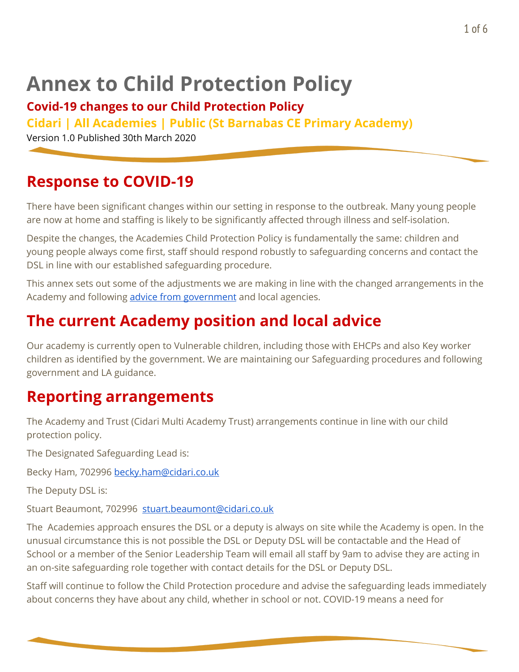# **Annex to Child Protection Policy**

#### **Covid-19 changes to our Child Protection Policy**

**Cidari | All Academies | Public (St Barnabas CE Primary Academy)**

Version 1.0 Published 30th March 2020

#### **Response to COVID-19**

There have been significant changes within our setting in response to the outbreak. Many young people are now at home and staffing is likely to be significantly affected through illness and self-isolation.

Despite the changes, the Academies Child Protection Policy is fundamentally the same: children and young people always come first, staff should respond robustly to safeguarding concerns and contact the DSL in line with our established safeguarding procedure.

This annex sets out some of the adjustments we are making in line with the changed arrangements in the Academy and following advice from [government](https://www.gov.uk/government/publications/covid-19-safeguarding-in-schools-colleges-and-other-providers/coronavirus-covid-19-safeguarding-in-schools-colleges-and-other-providers) and local agencies.

#### **The current Academy position and local advice**

Our academy is currently open to Vulnerable children, including those with EHCPs and also Key worker children as identified by the government. We are maintaining our Safeguarding procedures and following government and LA guidance.

#### **Reporting arrangements**

The Academy and Trust (Cidari Multi Academy Trust) arrangements continue in line with our child protection policy.

The Designated Safeguarding Lead is:

Becky Ham, 702996 [becky.ham@cidari.co.uk](mailto:becky.ham@cidari.co.uk)

The Deputy DSL is:

Stuart Beaumont, 702996 [stuart.beaumont@cidari.co.uk](mailto:stuart.beaumont@cidari.co.uk)

The Academies approach ensures the DSL or a deputy is always on site while the Academy is open. In the unusual circumstance this is not possible the DSL or Deputy DSL will be contactable and the Head of School or a member of the Senior Leadership Team will email all staff by 9am to advise they are acting in an on-site safeguarding role together with contact details for the DSL or Deputy DSL.

Staff will continue to follow the Child Protection procedure and advise the safeguarding leads immediately about concerns they have about any child, whether in school or not. COVID-19 means a need for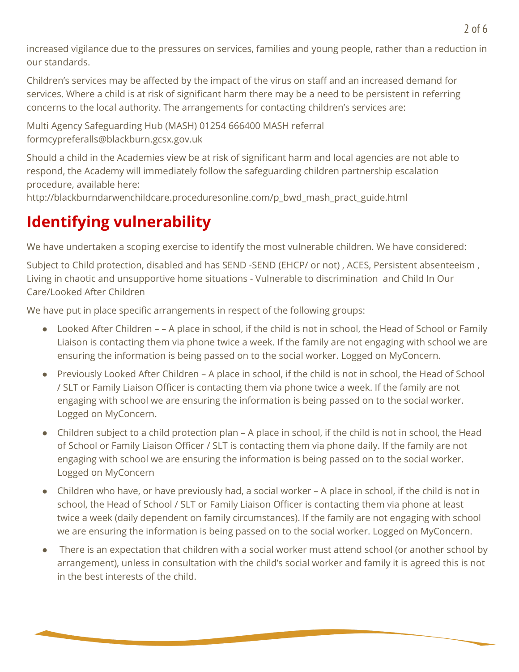increased vigilance due to the pressures on services, families and young people, rather than a reduction in our standards.

Children's services may be affected by the impact of the virus on staff and an increased demand for services. Where a child is at risk of significant harm there may be a need to be persistent in referring concerns to the local authority. The arrangements for contacting children's services are:

Multi Agency Safeguarding Hub (MASH) 01254 666400 MASH referral formcypreferalls@blackburn.gcsx.gov.uk

Should a child in the Academies view be at risk of significant harm and local agencies are not able to respond, the Academy will immediately follow the safeguarding children partnership escalation procedure, available here:

http://blackburndarwenchildcare.proceduresonline.com/p\_bwd\_mash\_pract\_guide.html

# **Identifying vulnerability**

We have undertaken a scoping exercise to identify the most vulnerable children. We have considered:

Subject to Child protection, disabled and has SEND -SEND (EHCP/ or not) , ACES, Persistent absenteeism , Living in chaotic and unsupportive home situations - Vulnerable to discrimination and Child In Our Care/Looked After Children

We have put in place specific arrangements in respect of the following groups:

- Looked After Children – A place in school, if the child is not in school, the Head of School or Family Liaison is contacting them via phone twice a week. If the family are not engaging with school we are ensuring the information is being passed on to the social worker. Logged on MyConcern.
- Previously Looked After Children A place in school, if the child is not in school, the Head of School / SLT or Family Liaison Officer is contacting them via phone twice a week. If the family are not engaging with school we are ensuring the information is being passed on to the social worker. Logged on MyConcern.
- Children subject to a child protection plan A place in school, if the child is not in school, the Head of School or Family Liaison Officer / SLT is contacting them via phone daily. If the family are not engaging with school we are ensuring the information is being passed on to the social worker. Logged on MyConcern
- Children who have, or have previously had, a social worker A place in school, if the child is not in school, the Head of School / SLT or Family Liaison Officer is contacting them via phone at least twice a week (daily dependent on family circumstances). If the family are not engaging with school we are ensuring the information is being passed on to the social worker. Logged on MyConcern.
- There is an expectation that children with a social worker must attend school (or another school by arrangement), unless in consultation with the child's social worker and family it is agreed this is not in the best interests of the child.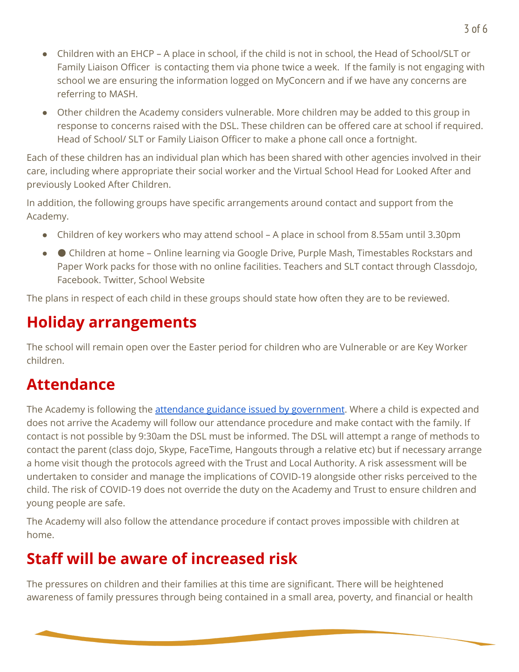- Children with an EHCP A place in school, if the child is not in school, the Head of School/SLT or Family Liaison Officer is contacting them via phone twice a week. If the family is not engaging with school we are ensuring the information logged on MyConcern and if we have any concerns are referring to MASH.
- Other children the Academy considers vulnerable. More children may be added to this group in response to concerns raised with the DSL. These children can be offered care at school if required. Head of School/ SLT or Family Liaison Officer to make a phone call once a fortnight.

Each of these children has an individual plan which has been shared with other agencies involved in their care, including where appropriate their social worker and the Virtual School Head for Looked After and previously Looked After Children.

In addition, the following groups have specific arrangements around contact and support from the Academy.

- Children of key workers who may attend school A place in school from 8.55am until 3.30pm
- ● Children at home Online learning via Google Drive, Purple Mash, Timestables Rockstars and Paper Work packs for those with no online facilities. Teachers and SLT contact through Classdojo, Facebook. Twitter, School Website

The plans in respect of each child in these groups should state how often they are to be reviewed.

# **Holiday arrangements**

The school will remain open over the Easter period for children who are Vulnerable or are Key Worker children.

## **Attendance**

The Academy is following the *attendance guidance issued by [government](https://www.gov.uk/government/publications/coronavirus-covid-19-attendance-recording-for-educational-settings)*. Where a child is expected and does not arrive the Academy will follow our attendance procedure and make contact with the family. If contact is not possible by 9:30am the DSL must be informed. The DSL will attempt a range of methods to contact the parent (class dojo, Skype, FaceTime, Hangouts through a relative etc) but if necessary arrange a home visit though the protocols agreed with the Trust and Local Authority. A risk assessment will be undertaken to consider and manage the implications of COVID-19 alongside other risks perceived to the child. The risk of COVID-19 does not override the duty on the Academy and Trust to ensure children and young people are safe.

The Academy will also follow the attendance procedure if contact proves impossible with children at home.

## **Staff will be aware of increased risk**

The pressures on children and their families at this time are significant. There will be heightened awareness of family pressures through being contained in a small area, poverty, and financial or health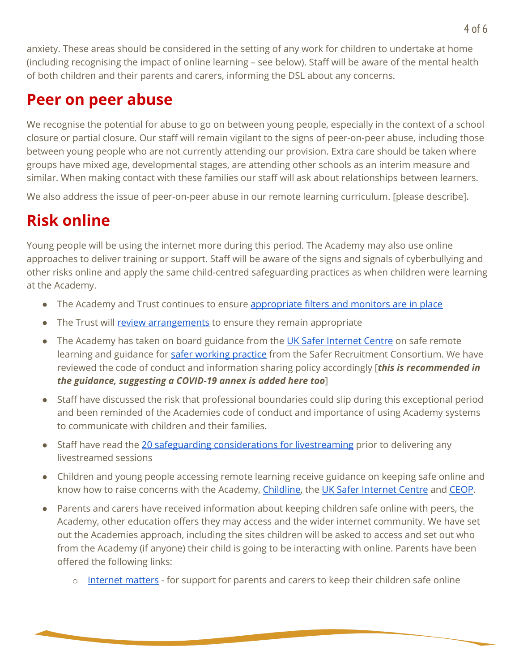anxiety. These areas should be considered in the setting of any work for children to undertake at home (including recognising the impact of online learning – see below). Staff will be aware of the mental health of both children and their parents and carers, informing the DSL about any concerns.

#### **Peer on peer abuse**

We recognise the potential for abuse to go on between young people, especially in the context of a school closure or partial closure. Our staff will remain vigilant to the signs of peer-on-peer abuse, including those between young people who are not currently attending our provision. Extra care should be taken where groups have mixed age, developmental stages, are attending other schools as an interim measure and similar. When making contact with these families our staff will ask about relationships between learners.

We also address the issue of peer-on-peer abuse in our remote learning curriculum. [please describe].

# **Risk online**

Young people will be using the internet more during this period. The Academy may also use online approaches to deliver training or support. Staff will be aware of the signs and signals of cyberbullying and other risks online and apply the same child-centred safeguarding practices as when children were learning at the Academy.

- The Academy and Trust continues to ensure [appropriate](https://www.saferinternet.org.uk/advice-centre/teachers-and-school-staff/appropriate-filtering-and-monitoring) filters and monitors are in place
- The Trust will review [arrangements](https://www.gov.uk/government/publications/online-safety-in-schools-and-colleges-questions-from-the-governing-board) to ensure they remain appropriate
- The Academy has taken on board guidance from the UK Safer [Internet](https://swgfl.org.uk/resources/safe-remote-learning/) Centre on safe remote learning and guidance for safer [working](https://www.saferrecruitmentconsortium.org/GSWP%20Sept%202019.pdf) practice from the Safer Recruitment Consortium. We have reviewed the code of conduct and information sharing policy accordingly [*this is recommended in the guidance, suggesting a COVID-19 annex is added here too*]
- Staff have discussed the risk that professional boundaries could slip during this exceptional period and been reminded of the Academies code of conduct and importance of using Academy systems to communicate with children and their families.
- Staff have read the 20 safeguarding [considerations](https://static.lgfl.net/LgflNet/downloads/digisafe/Safe-Lessons-by-Video-and-Livestream.pdf) for livestreaming prior to delivering any livestreamed sessions
- Children and young people accessing remote learning receive guidance on keeping safe online and know how to raise concerns with the Academy, [Childline,](https://www.childline.org.uk/?utm_source=google&utm_medium=cpc&utm_campaign=UK_GO_S_B_BND_Grant_Childline_Information&utm_term=role_of_childline&gclsrc=aw.ds&&gclid=EAIaIQobChMIlfLRh-ez6AIVRrDtCh1N9QR2EAAYASAAEgLc-vD_BwE&gclsrc=aw.ds) the UK Safer [Internet](https://reportharmfulcontent.com/) Centre and [CEOP.](https://www.ceop.police.uk/safety-centre/)
- Parents and carers have received information about keeping children safe online with peers, the Academy, other education offers they may access and the wider internet community. We have set out the Academies approach, including the sites children will be asked to access and set out who from the Academy (if anyone) their child is going to be interacting with online. Parents have been offered the following links:
	- o [Internet](https://www.internetmatters.org/?gclid=EAIaIQobChMIktuA5LWK2wIVRYXVCh2afg2aEAAYASAAEgIJ5vD_BwE) matters for support for parents and carers to keep their children safe online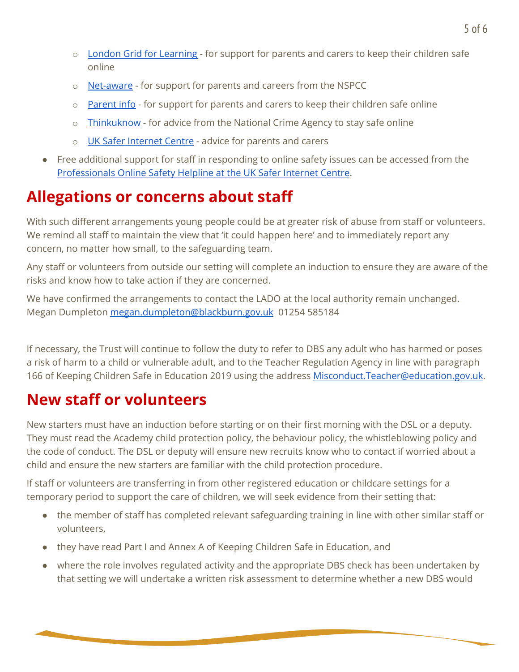- o London Grid for [Learning](http://www.lgfl.net/online-safety/) for support for parents and carers to keep their children safe online
- o [Net-aware](https://www.net-aware.org.uk/) for support for parents and careers from the NSPCC
- o [Parent](https://parentinfo.org/) info for support for parents and carers to keep their children safe online
- o [Thinkuknow](http://www.thinkuknow.co.uk/) for advice from the National Crime Agency to stay safe online
- o UK Safer [Internet](https://www.saferinternet.org.uk/advice-centre/parents-and-carers) Centre advice for parents and carers
- Free additional support for staff in responding to online safety issues can be accessed from the [Professionals](https://www.saferinternet.org.uk/helpline/professionals-online-safety-helpline) Online Safety Helpline at the UK Safer Internet Centre.

# **Allegations or concerns about staff**

With such different arrangements young people could be at greater risk of abuse from staff or volunteers. We remind all staff to maintain the view that 'it could happen here' and to immediately report any concern, no matter how small, to the safeguarding team.

Any staff or volunteers from outside our setting will complete an induction to ensure they are aware of the risks and know how to take action if they are concerned.

We have confirmed the arrangements to contact the LADO at the local authority remain unchanged. Megan Dumpleton [megan.dumpleton@blackburn.gov.uk](mailto:megan.dumpleton@blackburn.gov.uk) 01254 585184

If necessary, the Trust will continue to follow the duty to refer to DBS any adult who has harmed or poses a risk of harm to a child or vulnerable adult, and to the Teacher Regulation Agency in line with paragraph 166 of Keeping Children Safe in Education 2019 using the address [Misconduct.Teacher@education.gov.uk](mailto:Misconduct.Teacher@education.gov.uk).

#### **New staff or volunteers**

New starters must have an induction before starting or on their first morning with the DSL or a deputy. They must read the Academy child protection policy, the behaviour policy, the whistleblowing policy and the code of conduct. The DSL or deputy will ensure new recruits know who to contact if worried about a child and ensure the new starters are familiar with the child protection procedure.

If staff or volunteers are transferring in from other registered education or childcare settings for a temporary period to support the care of children, we will seek evidence from their setting that:

- the member of staff has completed relevant safeguarding training in line with other similar staff or volunteers,
- they have read Part I and Annex A of Keeping Children Safe in Education, and
- where the role involves regulated activity and the appropriate DBS check has been undertaken by that setting we will undertake a written risk assessment to determine whether a new DBS would